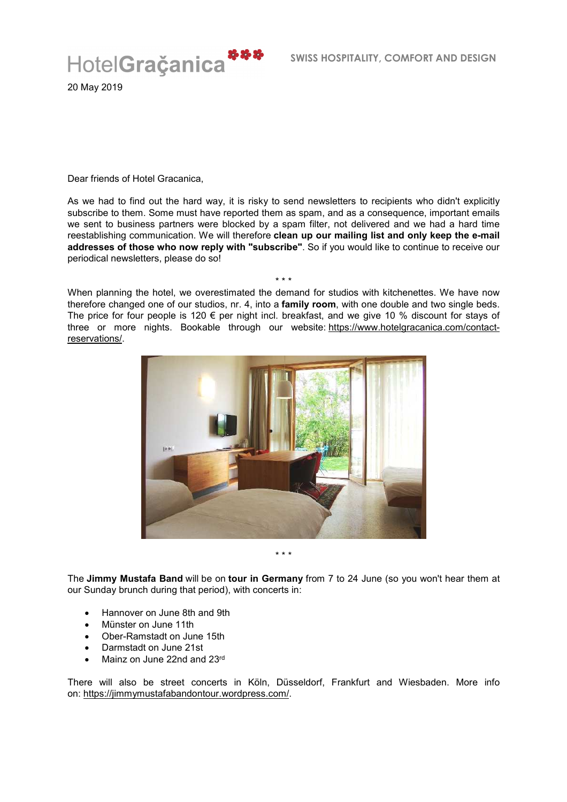

20 May 2019

Dear friends of Hotel Gracanica,

As we had to find out the hard way, it is risky to send newsletters to recipients who didn't explicitly subscribe to them. Some must have reported them as spam, and as a consequence, important emails we sent to business partners were blocked by a spam filter, not delivered and we had a hard time reestablishing communication. We will therefore **clean up our mailing list and only keep the e-mail addresses of those who now reply with "subscribe"**. So if you would like to continue to receive our periodical newsletters, please do so!

When planning the hotel, we overestimated the demand for studios with kitchenettes. We have now therefore changed one of our studios, nr. 4, into a **family room**, with one double and two single beds. The price for four people is 120  $\epsilon$  per night incl. breakfast, and we give 10 % discount for stays of three or more nights. Bookable through our website: https://www.hotelgracanica.com/contactreservations/.

\* \* \*





The **Jimmy Mustafa Band** will be on **tour in Germany** from 7 to 24 June (so you won't hear them at our Sunday brunch during that period), with concerts in:

- Hannover on June 8th and 9th
- Münster on June 11th
- Ober-Ramstadt on June 15th
- Darmstadt on June 21st
- Mainz on June 22nd and 23rd

There will also be street concerts in Köln, Düsseldorf, Frankfurt and Wiesbaden. More info on: https://jimmymustafabandontour.wordpress.com/.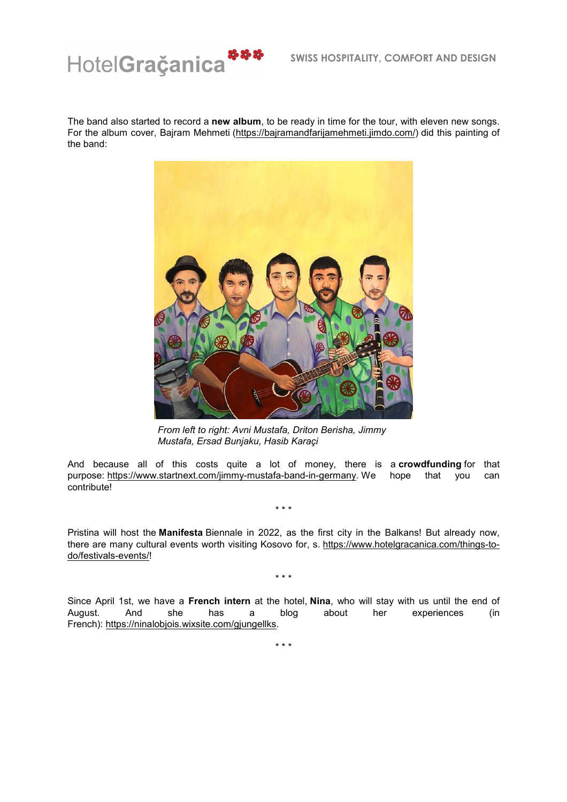

The band also started to record a **new album**, to be ready in time for the tour, with eleven new songs. For the album cover, Bajram Mehmeti (https://bajramandfarijamehmeti.jimdo.com/) did this painting of the band:



*From left to right: Avni Mustafa, Driton Berisha, Jimmy Mustafa, Ersad Bunjaku, Hasib Karaçi*

And because all of this costs quite a lot of money, there is a **crowdfunding** for that purpose: https://www.startnext.com/jimmy-mustafa-band-in-germany. We hope that you can contribute!

\* \* \*

Pristina will host the **Manifesta** Biennale in 2022, as the first city in the Balkans! But already now, there are many cultural events worth visiting Kosovo for, s. https://www.hotelgracanica.com/things-todo/festivals-events/!

\* \* \*

Since April 1st, we have a **French intern** at the hotel, **Nina**, who will stay with us until the end of August. And she has a blog about her experiences (in French): https://ninalobjois.wixsite.com/gjungellks.

\* \* \*